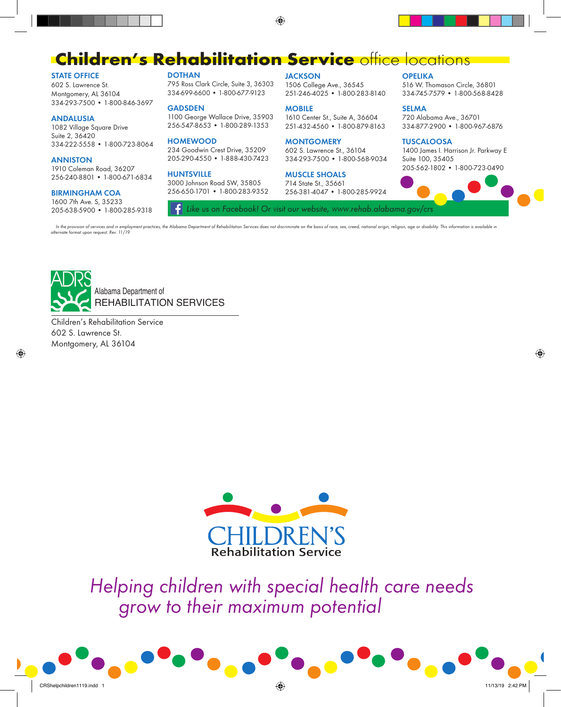## **Children's Rehabilitation Service office locations**

⊕

#### **STATE OFFICE**

602 S. Lawrence St. Montgomery, AL 36104 334-293-7500 • 1-800-846-3697

#### **ANDALUSIA**

1082 Village Square Drive Suite 2, 36420 334-222-5558 • 1-800-723-8064

#### **ANNISTON**

1910 Coleman Road, 36207 256-240-8801 • 1-800-671-6834

#### **BIRMINGHAM COA**

1600 7th Ave. S, 35233 205-638-5900 • 1-800-285-9318 **DOTHAN**

795 Ross Clark Circle, Suite 3, 36303 334-699-6600 • 1-800-677-9123

#### **GADSDEN**

1100 George Wallace Drive, 35903 256-547-8653 • 1-800-289-1353

#### **HOMEWOOD**

234 Goodwin Crest Drive, 35209 205-290-4550 • 1-888-430-7423

#### **HUNTSVILLE**

3000 Johnson Road SW, 35805 256-650-1701 • 1-800-283-9352

#### **JACKSON**

1506 College Ave., 36545 251-246-4025 • 1-800-283-8140

#### **MOBILE**

1610 Center St., Suite A, 36604 251-432-4560 • 1-800-879-8163

#### **MONTGOMERY**

602 S. Lawrence St., 36104 334-293-7500 • 1-800-568-9034

#### **MUSCLE SHOALS**

714 State St., 35661 256-381-4047 • 1-800-285-9924

#### **OPELIKA**

516 W. Thomason Circle, 36801 334-745-7579 • 1-800-568-8428

#### **SELMA**

720 Alabama Ave., 36701 334-877-2900 • 1-800-967-6876

#### **TUSCALOOSA**

1400 James I. Harrison Jr. Parkway E Suite 100, 35405 205-562-1802 • 1-800-723-0490



⊕

In the provision of services and in employment practices, the Alabama Department of Rehabilitation Services does not discriminate on the basis of race, sex, creed, national origin, religion, age or disability. This informa *alternate format upon request. Rev. 11/19*



Children's Rehabilitation Service 602 S. Lawrence St. Montgomery, AL 36104



*Helping children with special health care needs grow to their maximum potential*